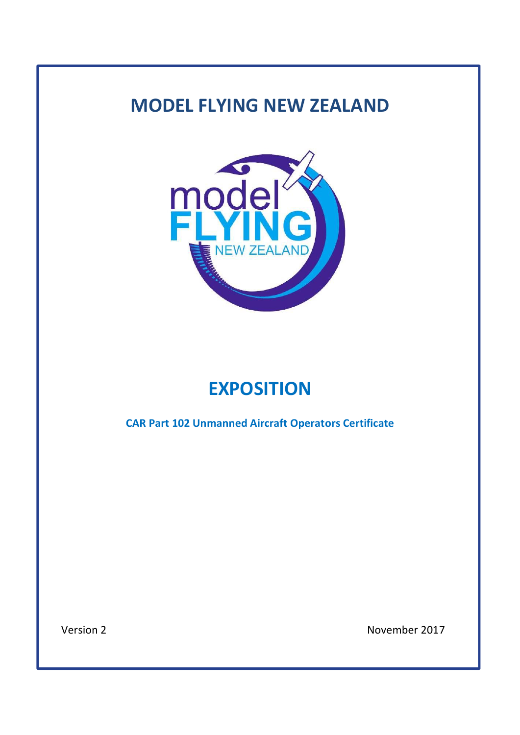# **MODEL FLYING NEW ZEALAND**



# **EXPOSITION**

**CAR Part 102 Unmanned Aircraft Operators Certificate**

Version 2 November 2017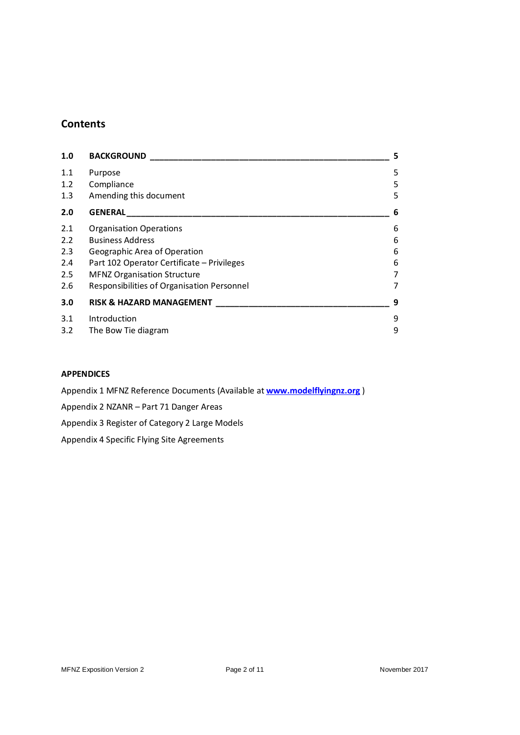### **Contents**

| 1.0<br><b>BACKGROUND</b>                   |   |
|--------------------------------------------|---|
| Purpose                                    | 5 |
| Compliance                                 | 5 |
| Amending this document                     | 5 |
| <b>GENERAL</b>                             | 6 |
| <b>Organisation Operations</b>             | 6 |
| <b>Business Address</b>                    | 6 |
| Geographic Area of Operation               | 6 |
| Part 102 Operator Certificate - Privileges | 6 |
| <b>MFNZ Organisation Structure</b>         | 7 |
| Responsibilities of Organisation Personnel | 7 |
| <b>RISK &amp; HAZARD MANAGEMENT</b>        | 9 |
| Introduction                               | 9 |
| The Bow Tie diagram                        | 9 |
|                                            |   |

#### **APPENDICES**

Appendix 1 MFNZ Reference Documents (Available at **www.modelflyingnz.org** )

Appendix 2 NZANR – Part 71 Danger Areas

Appendix 3 Register of Category 2 Large Models

Appendix 4 Specific Flying Site Agreements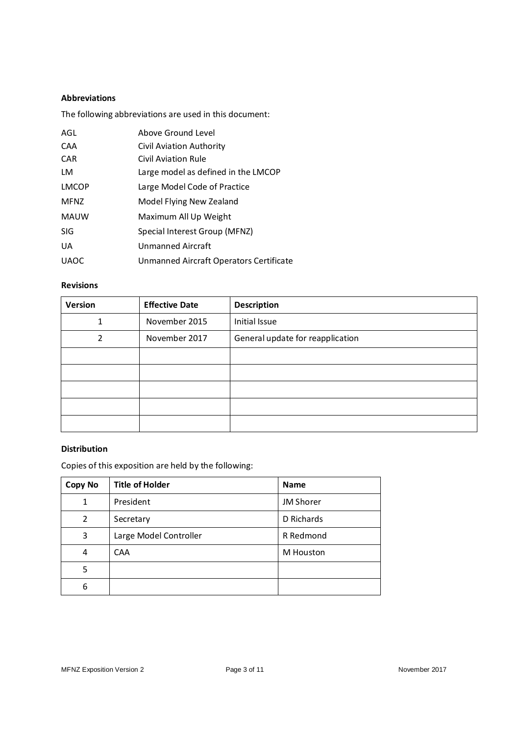#### **Abbreviations**

The following abbreviations are used in this document:

| AGL          | Above Ground Level                             |  |
|--------------|------------------------------------------------|--|
| CAA          | Civil Aviation Authority                       |  |
| <b>CAR</b>   | Civil Aviation Rule                            |  |
| LM           | Large model as defined in the LMCOP            |  |
| <b>LMCOP</b> | Large Model Code of Practice                   |  |
| <b>MFNZ</b>  | Model Flying New Zealand                       |  |
| <b>MAUW</b>  | Maximum All Up Weight                          |  |
| <b>SIG</b>   | Special Interest Group (MFNZ)                  |  |
| UA           | <b>Unmanned Aircraft</b>                       |  |
| <b>UAOC</b>  | <b>Unmanned Aircraft Operators Certificate</b> |  |

#### **Revisions**

| <b>Version</b> | <b>Effective Date</b> | <b>Description</b>               |
|----------------|-----------------------|----------------------------------|
|                | November 2015         | Initial Issue                    |
| 2              | November 2017         | General update for reapplication |
|                |                       |                                  |
|                |                       |                                  |
|                |                       |                                  |
|                |                       |                                  |
|                |                       |                                  |

#### **Distribution**

Copies of this exposition are held by the following:

| <b>Copy No</b> | <b>Title of Holder</b> | <b>Name</b> |  |
|----------------|------------------------|-------------|--|
|                | President              | JM Shorer   |  |
| 2              | Secretary              | D Richards  |  |
| 3              | Large Model Controller | R Redmond   |  |
| 4              | <b>CAA</b>             | M Houston   |  |
| 5              |                        |             |  |
| 6              |                        |             |  |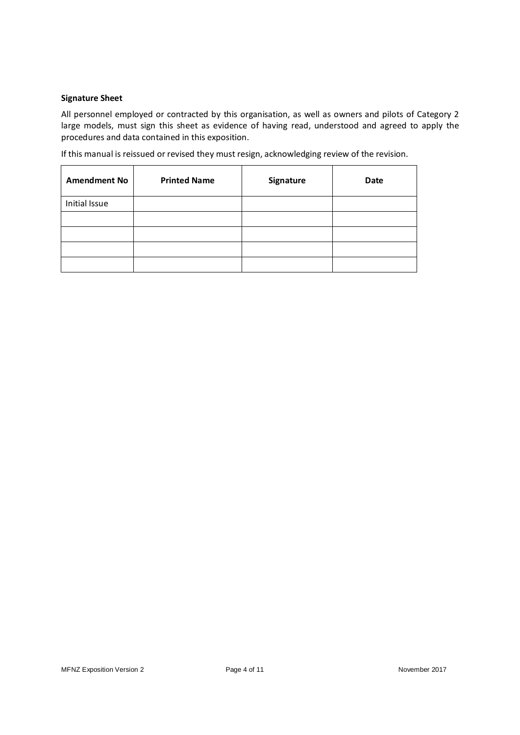#### **Signature Sheet**

All personnel employed or contracted by this organisation, as well as owners and pilots of Category 2 large models, must sign this sheet as evidence of having read, understood and agreed to apply the procedures and data contained in this exposition.

If this manual is reissued or revised they must resign, acknowledging review of the revision.

| <b>Amendment No</b> | <b>Printed Name</b> | Signature | <b>Date</b> |
|---------------------|---------------------|-----------|-------------|
| Initial Issue       |                     |           |             |
|                     |                     |           |             |
|                     |                     |           |             |
|                     |                     |           |             |
|                     |                     |           |             |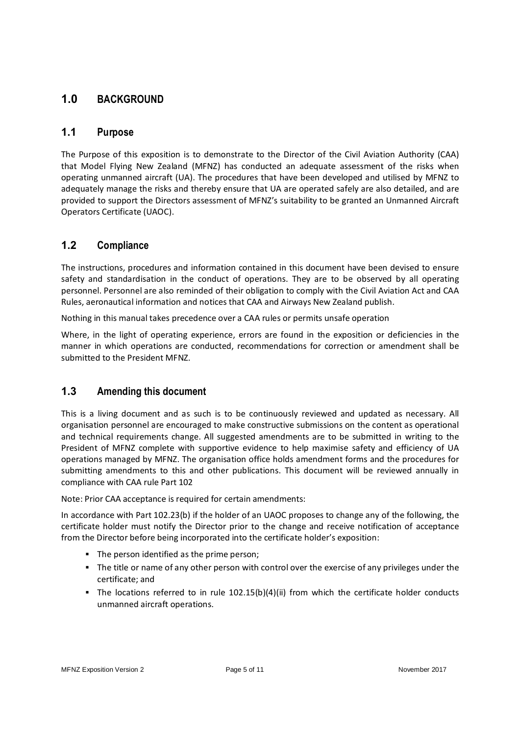# **1.0 BACKGROUND**

#### **1.1 Purpose**

The Purpose of this exposition is to demonstrate to the Director of the Civil Aviation Authority (CAA) that Model Flying New Zealand (MFNZ) has conducted an adequate assessment of the risks when operating unmanned aircraft (UA). The procedures that have been developed and utilised by MFNZ to adequately manage the risks and thereby ensure that UA are operated safely are also detailed, and are provided to support the Directors assessment of MFNZ's suitability to be granted an Unmanned Aircraft Operators Certificate (UAOC).

# **1.2 Compliance**

The instructions, procedures and information contained in this document have been devised to ensure safety and standardisation in the conduct of operations. They are to be observed by all operating personnel. Personnel are also reminded of their obligation to comply with the Civil Aviation Act and CAA Rules, aeronautical information and notices that CAA and Airways New Zealand publish.

Nothing in this manual takes precedence over a CAA rules or permits unsafe operation

Where, in the light of operating experience, errors are found in the exposition or deficiencies in the manner in which operations are conducted, recommendations for correction or amendment shall be submitted to the President MFNZ.

#### **1.3 Amending this document**

This is a living document and as such is to be continuously reviewed and updated as necessary. All organisation personnel are encouraged to make constructive submissions on the content as operational and technical requirements change. All suggested amendments are to be submitted in writing to the President of MFNZ complete with supportive evidence to help maximise safety and efficiency of UA operations managed by MFNZ. The organisation office holds amendment forms and the procedures for submitting amendments to this and other publications. This document will be reviewed annually in compliance with CAA rule Part 102

Note: Prior CAA acceptance is required for certain amendments:

In accordance with Part 102.23(b) if the holder of an UAOC proposes to change any of the following, the certificate holder must notify the Director prior to the change and receive notification of acceptance from the Director before being incorporated into the certificate holder's exposition:

- The person identified as the prime person;
- The title or name of any other person with control over the exercise of any privileges under the certificate; and
- $\blacksquare$  The locations referred to in rule 102.15(b)(4)(ii) from which the certificate holder conducts unmanned aircraft operations.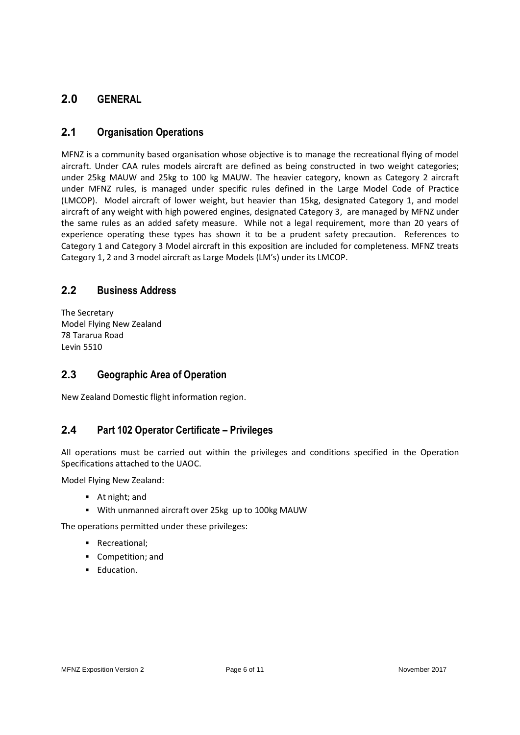# **2.0 GENERAL**

## **2.1 Organisation Operations**

MFNZ is a community based organisation whose objective is to manage the recreational flying of model aircraft. Under CAA rules models aircraft are defined as being constructed in two weight categories; under 25kg MAUW and 25kg to 100 kg MAUW. The heavier category, known as Category 2 aircraft under MFNZ rules, is managed under specific rules defined in the Large Model Code of Practice (LMCOP). Model aircraft of lower weight, but heavier than 15kg, designated Category 1, and model aircraft of any weight with high powered engines, designated Category 3, are managed by MFNZ under the same rules as an added safety measure. While not a legal requirement, more than 20 years of experience operating these types has shown it to be a prudent safety precaution. References to Category 1 and Category 3 Model aircraft in this exposition are included for completeness. MFNZ treats Category 1, 2 and 3 model aircraft as Large Models (LM's) under its LMCOP.

#### **2.2 Business Address**

The Secretary Model Flying New Zealand 78 Tararua Road Levin 5510

#### **2.3 Geographic Area of Operation**

New Zealand Domestic flight information region.

#### **2.4 Part 102 Operator Certificate – Privileges**

All operations must be carried out within the privileges and conditions specified in the Operation Specifications attached to the UAOC.

Model Flying New Zealand:

- **•** At night; and
- **With unmanned aircraft over 25kg up to 100kg MAUW**

The operations permitted under these privileges:

- Recreational;
- **Competition**; and
- **Education.**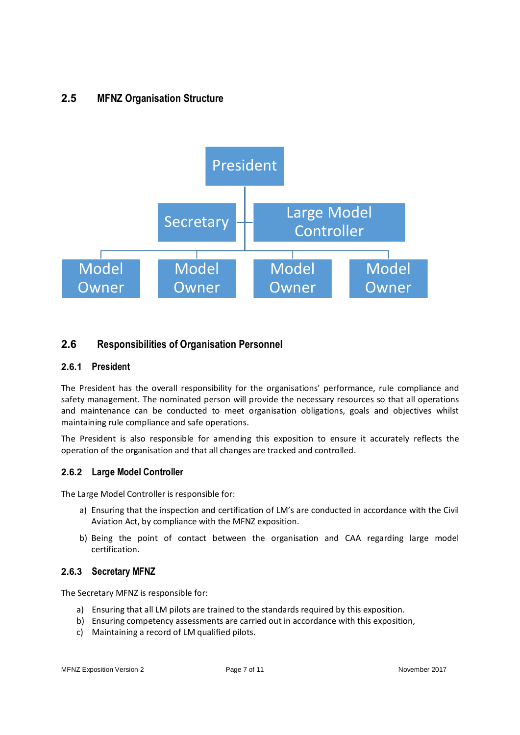# **2.5 MFNZ Organisation Structure**



#### **2.6 Responsibilities of Organisation Personnel**

#### **2.6.1 President**

The President has the overall responsibility for the organisations' performance, rule compliance and safety management. The nominated person will provide the necessary resources so that all operations and maintenance can be conducted to meet organisation obligations, goals and objectives whilst maintaining rule compliance and safe operations.

The President is also responsible for amending this exposition to ensure it accurately reflects the operation of the organisation and that all changes are tracked and controlled.

#### **2.6.2 Large Model Controller**

The Large Model Controller is responsible for:

- a) Ensuring that the inspection and certification of LM's are conducted in accordance with the Civil Aviation Act, by compliance with the MFNZ exposition.
- b) Being the point of contact between the organisation and CAA regarding large model certification.

#### **2.6.3 Secretary MFNZ**

The Secretary MFNZ is responsible for:

- a) Ensuring that all LM pilots are trained to the standards required by this exposition.
- b) Ensuring competency assessments are carried out in accordance with this exposition,
- c) Maintaining a record of LM qualified pilots.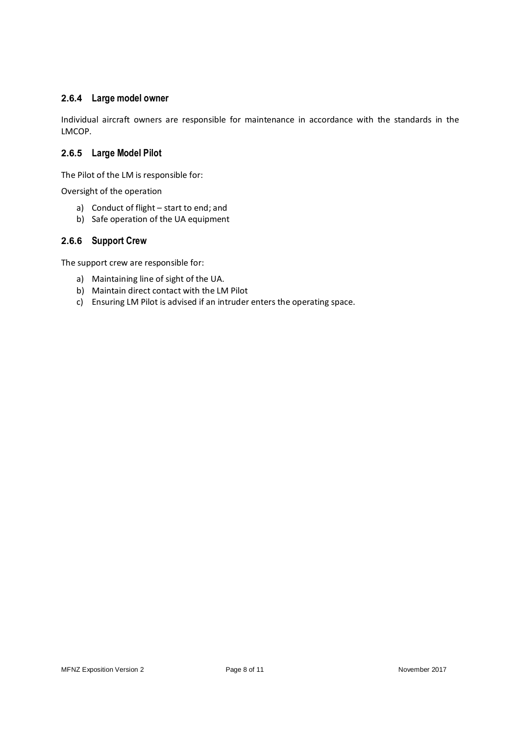#### **2.6.4 Large model owner**

Individual aircraft owners are responsible for maintenance in accordance with the standards in the LMCOP.

#### **2.6.5 Large Model Pilot**

The Pilot of the LM is responsible for:

Oversight of the operation

- a) Conduct of flight start to end; and
- b) Safe operation of the UA equipment

#### **2.6.6 Support Crew**

The support crew are responsible for:

- a) Maintaining line of sight of the UA.
- b) Maintain direct contact with the LM Pilot
- c) Ensuring LM Pilot is advised if an intruder enters the operating space.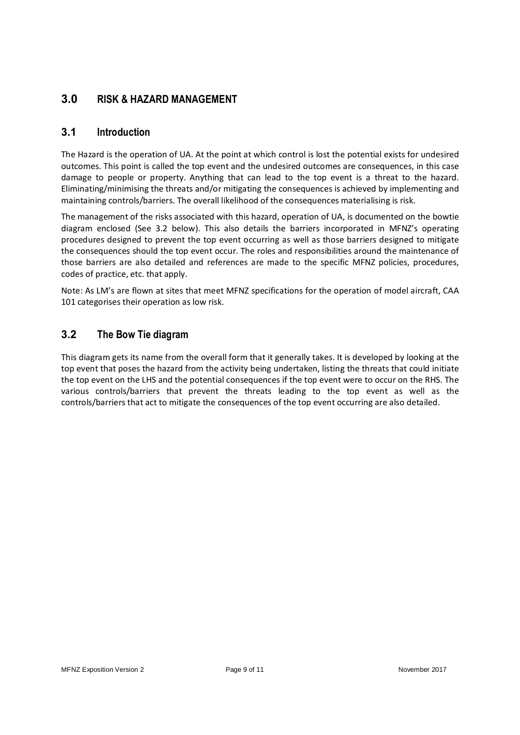# **3.0 RISK & HAZARD MANAGEMENT**

#### **3.1 Introduction**

The Hazard is the operation of UA. At the point at which control is lost the potential exists for undesired outcomes. This point is called the top event and the undesired outcomes are consequences, in this case damage to people or property. Anything that can lead to the top event is a threat to the hazard. Eliminating/minimising the threats and/or mitigating the consequences is achieved by implementing and maintaining controls/barriers. The overall likelihood of the consequences materialising is risk.

The management of the risks associated with this hazard, operation of UA, is documented on the bowtie diagram enclosed (See 3.2 below). This also details the barriers incorporated in MFNZ's operating procedures designed to prevent the top event occurring as well as those barriers designed to mitigate the consequences should the top event occur. The roles and responsibilities around the maintenance of those barriers are also detailed and references are made to the specific MFNZ policies, procedures, codes of practice, etc. that apply.

Note: As LM's are flown at sites that meet MFNZ specifications for the operation of model aircraft, CAA 101 categorises their operation as low risk.

## **3.2 The Bow Tie diagram**

This diagram gets its name from the overall form that it generally takes. It is developed by looking at the top event that poses the hazard from the activity being undertaken, listing the threats that could initiate the top event on the LHS and the potential consequences if the top event were to occur on the RHS. The various controls/barriers that prevent the threats leading to the top event as well as the controls/barriers that act to mitigate the consequences of the top event occurring are also detailed.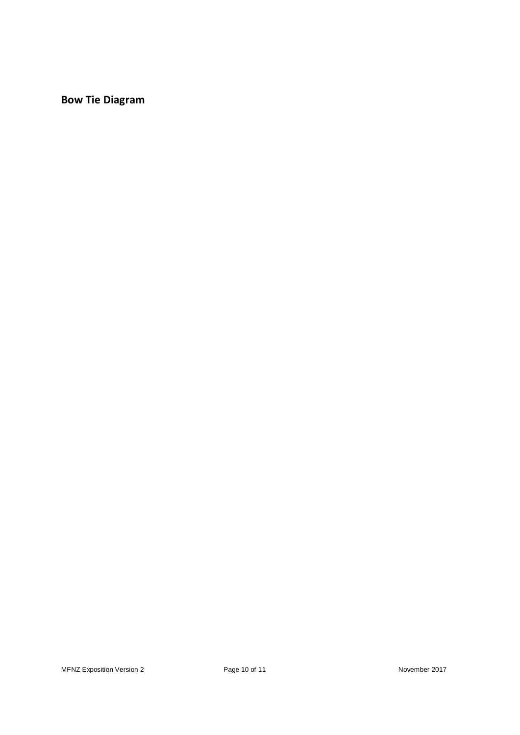**Bow Tie Diagram**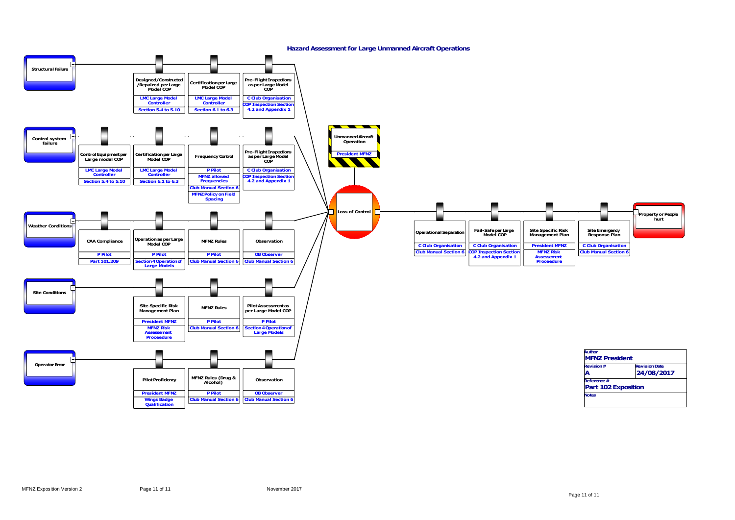

| <b>MFNZ President</b>      |  |  |  |
|----------------------------|--|--|--|
| <b>Revision Date</b>       |  |  |  |
| 24/08/2017                 |  |  |  |
| Reference#                 |  |  |  |
| <b>Part 102 Exposition</b> |  |  |  |
| <b>Notes</b>               |  |  |  |
|                            |  |  |  |
|                            |  |  |  |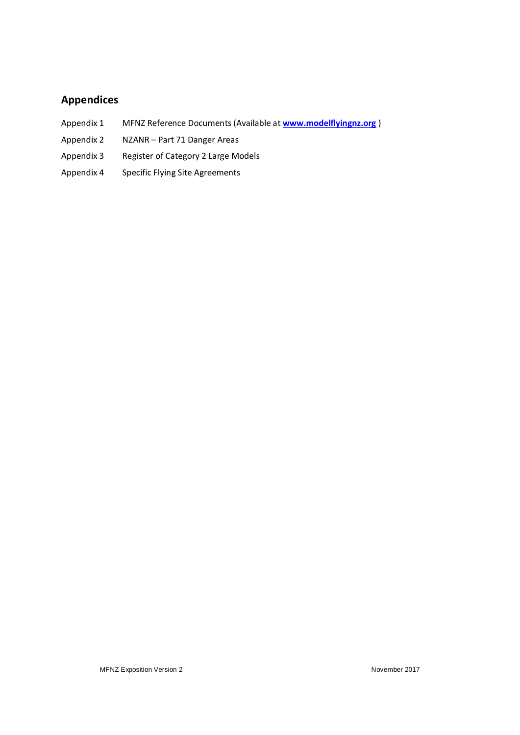# **Appendices**

- Appendix 1 MFNZ Reference Documents (Available at **www.modelflyingnz.org** )
- Appendix 2 NZANR Part 71 Danger Areas
- Appendix 3 Register of Category 2 Large Models
- Appendix 4 Specific Flying Site Agreements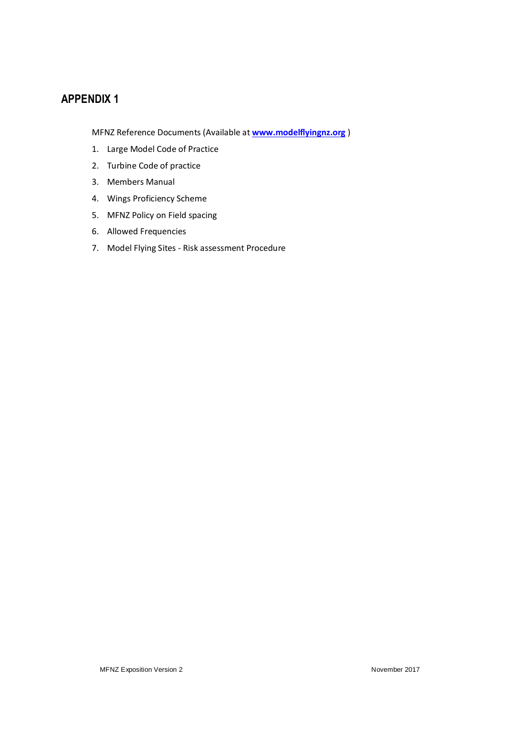MFNZ Reference Documents (Available at **www.modelflyingnz.org** )

- 1. Large Model Code of Practice
- 2. Turbine Code of practice
- 3. Members Manual
- 4. Wings Proficiency Scheme
- 5. MFNZ Policy on Field spacing
- 6. Allowed Frequencies
- 7. Model Flying Sites Risk assessment Procedure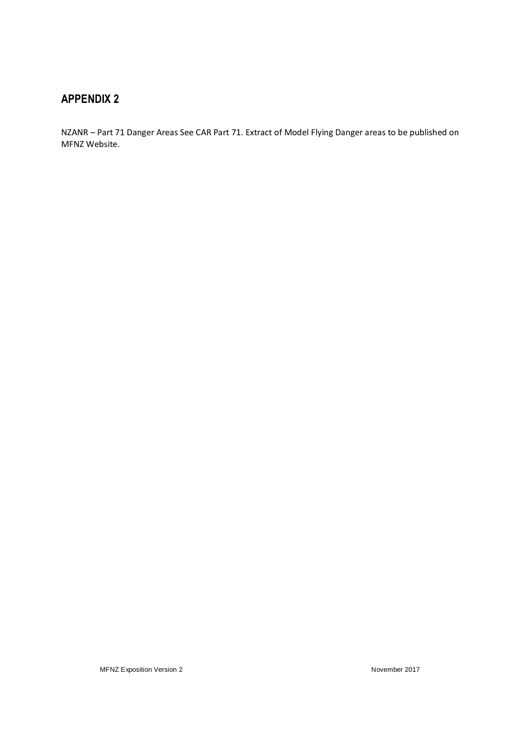NZANR – Part 71 Danger Areas See CAR Part 71. Extract of Model Flying Danger areas to be published on MFNZ Website.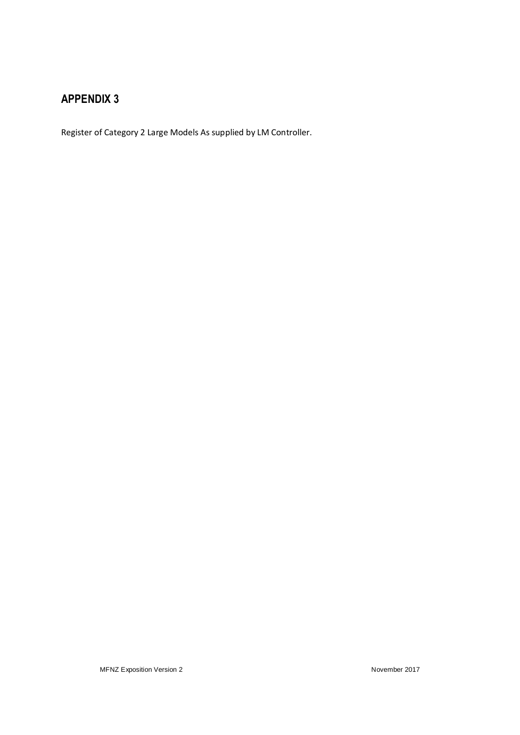Register of Category 2 Large Models As supplied by LM Controller.